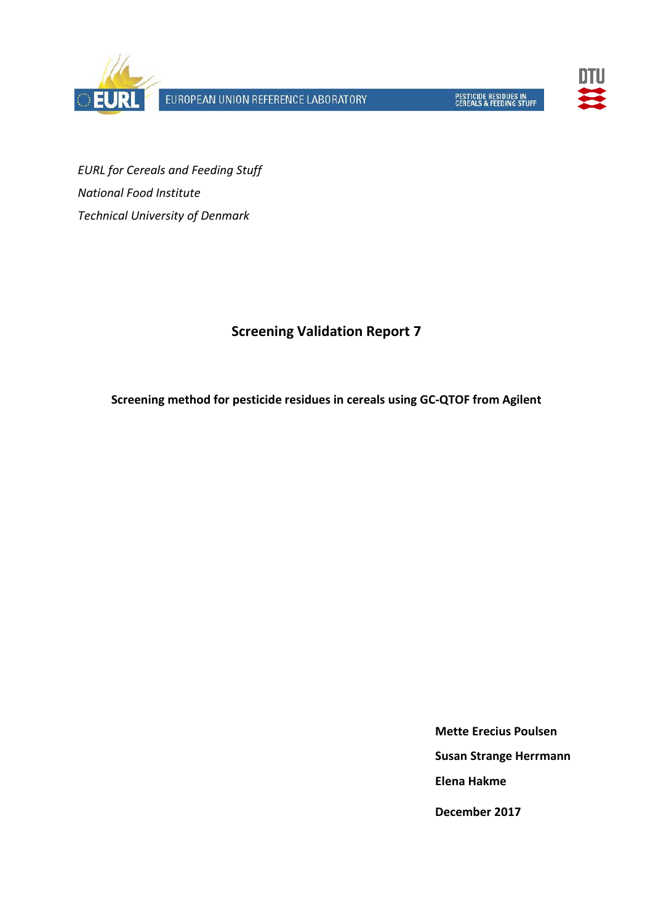

EUROPEAN UNION REFERENCE LABORATORY



*EURL for Cereals and Feeding Stuff National Food Institute Technical University of Denmark*

# **Screening Validation Report 7**

**Screening method for pesticide residues in cereals using GC-QTOF from Agilent**

**Mette Erecius Poulsen Susan Strange Herrmann Elena Hakme December 2017**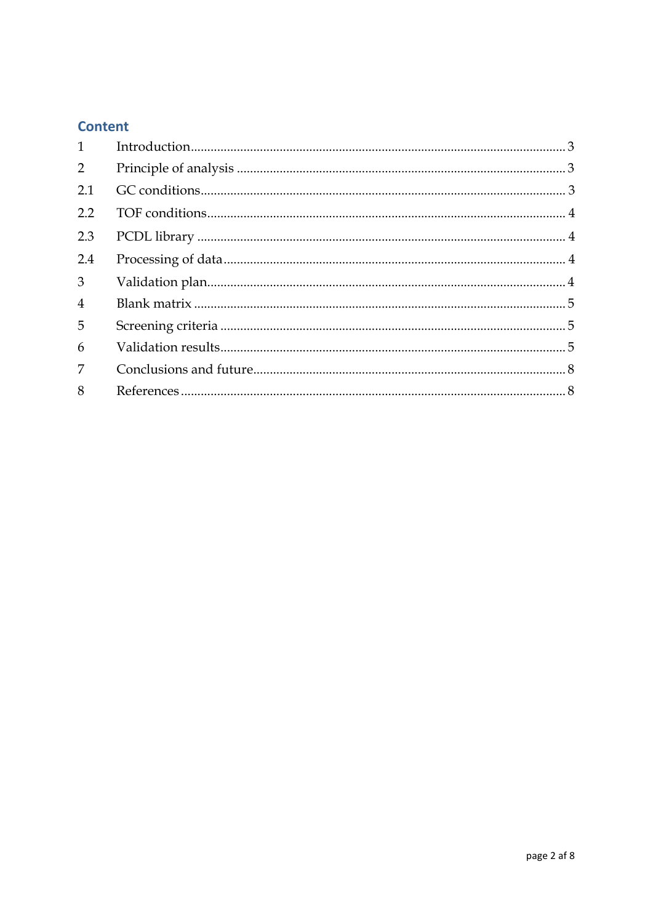# **Content**

| $\mathbf{1}$   |  |
|----------------|--|
| 2              |  |
| 2.1            |  |
| 2.2            |  |
| 2.3            |  |
| 2.4            |  |
| 3              |  |
| $\overline{4}$ |  |
| 5              |  |
| 6              |  |
| 7              |  |
| 8              |  |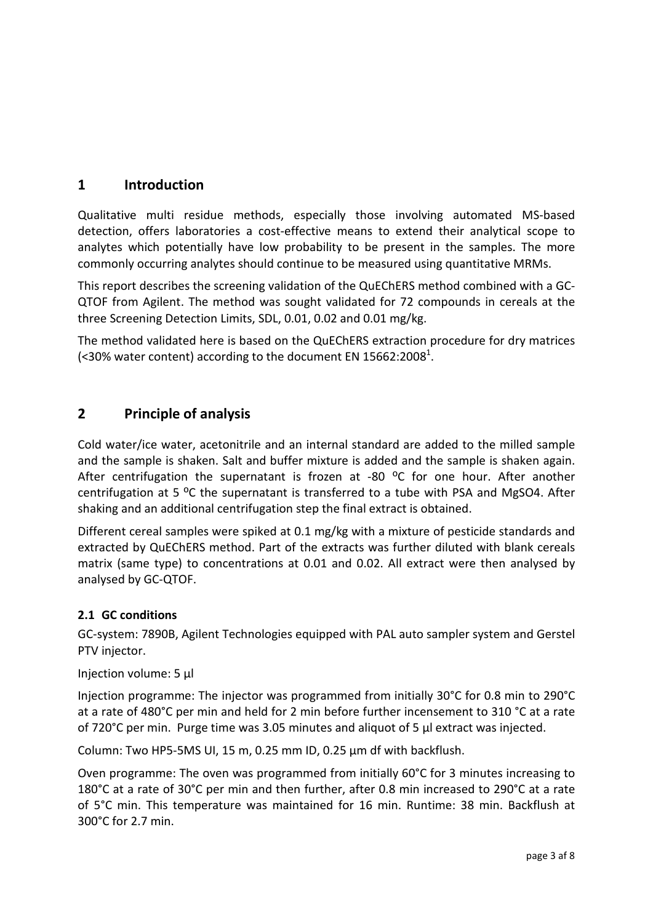# <span id="page-2-0"></span>**1 Introduction**

Qualitative multi residue methods, especially those involving automated MS-based detection, offers laboratories a cost-effective means to extend their analytical scope to analytes which potentially have low probability to be present in the samples. The more commonly occurring analytes should continue to be measured using quantitative MRMs.

This report describes the screening validation of the QuEChERS method combined with a GC-QTOF from Agilent. The method was sought validated for 72 compounds in cereals at the three Screening Detection Limits, SDL, 0.01, 0.02 and 0.01 mg/kg.

The method validated here is based on the QuEChERS extraction procedure for dry matrices (<30% water content) according to the document EN 15662:2008<sup>1</sup>.

## <span id="page-2-1"></span>**2 Principle of analysis**

Cold water/ice water, acetonitrile and an internal standard are added to the milled sample and the sample is shaken. Salt and buffer mixture is added and the sample is shaken again. After centrifugation the supernatant is frozen at -80  $^{\circ}$ C for one hour. After another centrifugation at 5  $^{\circ}$ C the supernatant is transferred to a tube with PSA and MgSO4. After shaking and an additional centrifugation step the final extract is obtained.

Different cereal samples were spiked at 0.1 mg/kg with a mixture of pesticide standards and extracted by QuEChERS method. Part of the extracts was further diluted with blank cereals matrix (same type) to concentrations at 0.01 and 0.02. All extract were then analysed by analysed by GC-QTOF.

#### <span id="page-2-2"></span>**2.1 GC conditions**

GC-system: 7890B, Agilent Technologies equipped with PAL auto sampler system and Gerstel PTV injector.

#### Injection volume: 5 µl

Injection programme: The injector was programmed from initially 30°C for 0.8 min to 290°C at a rate of 480°C per min and held for 2 min before further incensement to 310 °C at a rate of 720°C per min. Purge time was 3.05 minutes and aliquot of 5 µl extract was injected.

Column: Two HP5-5MS UI, 15 m, 0.25 mm ID, 0.25 µm df with backflush.

Oven programme: The oven was programmed from initially 60°C for 3 minutes increasing to 180°C at a rate of 30°C per min and then further, after 0.8 min increased to 290°C at a rate of 5°C min. This temperature was maintained for 16 min. Runtime: 38 min. Backflush at 300°C for 2.7 min.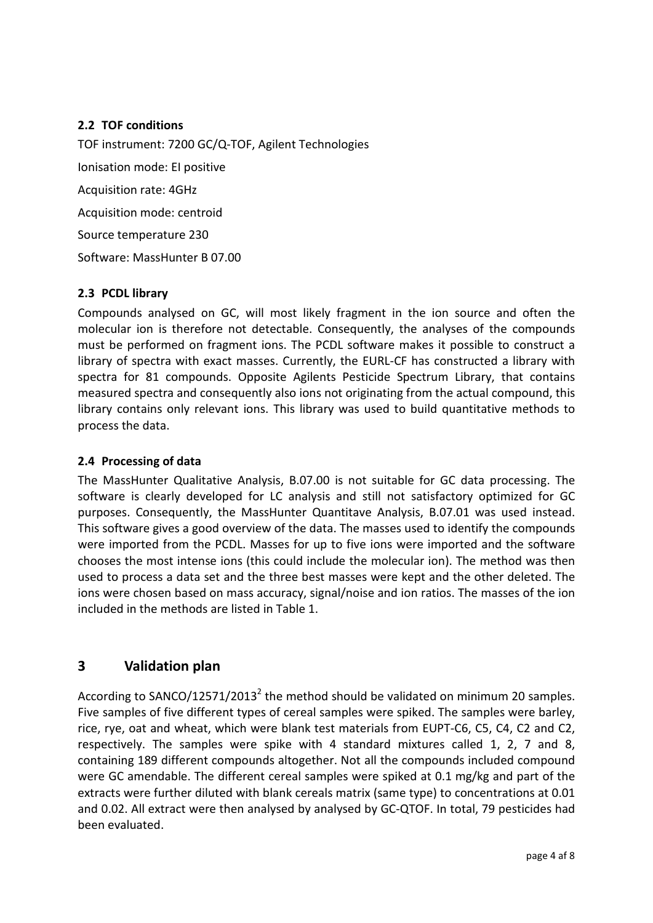#### <span id="page-3-0"></span>**2.2 TOF conditions**

TOF instrument: 7200 GC/Q-TOF, Agilent Technologies Ionisation mode: EI positive Acquisition rate: 4GHz Acquisition mode: centroid Source temperature 230 Software: MassHunter B 07.00

#### <span id="page-3-1"></span>**2.3 PCDL library**

Compounds analysed on GC, will most likely fragment in the ion source and often the molecular ion is therefore not detectable. Consequently, the analyses of the compounds must be performed on fragment ions. The PCDL software makes it possible to construct a library of spectra with exact masses. Currently, the EURL-CF has constructed a library with spectra for 81 compounds. Opposite Agilents Pesticide Spectrum Library, that contains measured spectra and consequently also ions not originating from the actual compound, this library contains only relevant ions. This library was used to build quantitative methods to process the data.

#### <span id="page-3-2"></span>**2.4 Processing of data**

The MassHunter Qualitative Analysis, B.07.00 is not suitable for GC data processing. The software is clearly developed for LC analysis and still not satisfactory optimized for GC purposes. Consequently, the MassHunter Quantitave Analysis, B.07.01 was used instead. This software gives a good overview of the data. The masses used to identify the compounds were imported from the PCDL. Masses for up to five ions were imported and the software chooses the most intense ions (this could include the molecular ion). The method was then used to process a data set and the three best masses were kept and the other deleted. The ions were chosen based on mass accuracy, signal/noise and ion ratios. The masses of the ion included in the methods are listed in Table 1.

## <span id="page-3-3"></span>**3 Validation plan**

According to SANCO/12571/2013<sup>2</sup> the method should be validated on minimum 20 samples. Five samples of five different types of cereal samples were spiked. The samples were barley, rice, rye, oat and wheat, which were blank test materials from EUPT-C6, C5, C4, C2 and C2, respectively. The samples were spike with 4 standard mixtures called 1, 2, 7 and 8, containing 189 different compounds altogether. Not all the compounds included compound were GC amendable. The different cereal samples were spiked at 0.1 mg/kg and part of the extracts were further diluted with blank cereals matrix (same type) to concentrations at 0.01 and 0.02. All extract were then analysed by analysed by GC-QTOF. In total, 79 pesticides had been evaluated.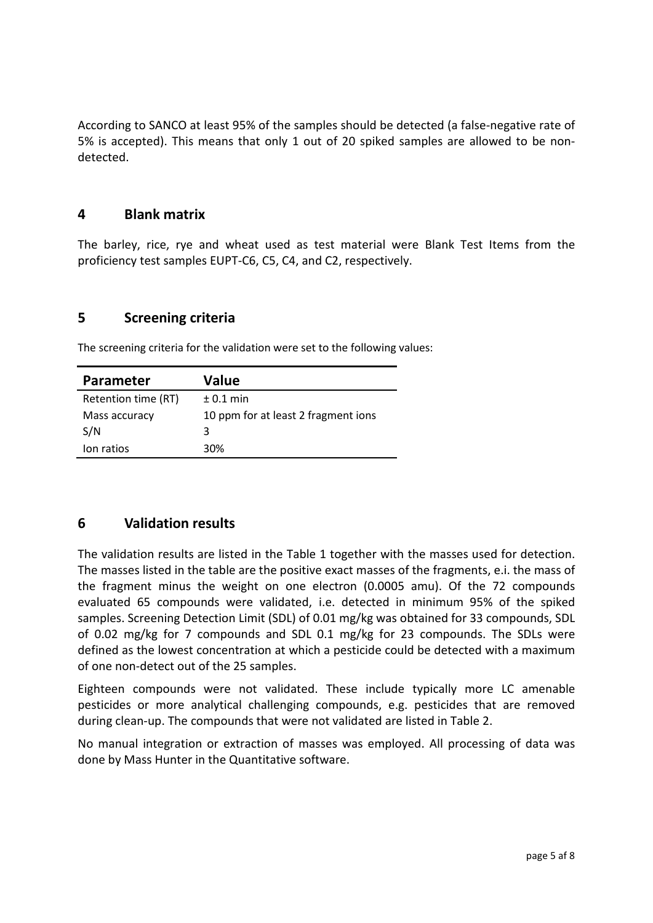According to SANCO at least 95% of the samples should be detected (a false-negative rate of 5% is accepted). This means that only 1 out of 20 spiked samples are allowed to be nondetected.

#### <span id="page-4-0"></span>**4 Blank matrix**

The barley, rice, rye and wheat used as test material were Blank Test Items from the proficiency test samples EUPT-C6, C5, C4, and C2, respectively.

#### <span id="page-4-1"></span>**5 Screening criteria**

The screening criteria for the validation were set to the following values:

| <b>Parameter</b>    | Value                               |
|---------------------|-------------------------------------|
| Retention time (RT) | $± 0.1$ min                         |
| Mass accuracy       | 10 ppm for at least 2 fragment ions |
| S/N                 | 3                                   |
| lon ratios          | 30%                                 |

## <span id="page-4-2"></span>**6 Validation results**

The validation results are listed in the Table 1 together with the masses used for detection. The masses listed in the table are the positive exact masses of the fragments, e.i. the mass of the fragment minus the weight on one electron (0.0005 amu). Of the 72 compounds evaluated 65 compounds were validated, i.e. detected in minimum 95% of the spiked samples. Screening Detection Limit (SDL) of 0.01 mg/kg was obtained for 33 compounds, SDL of 0.02 mg/kg for 7 compounds and SDL 0.1 mg/kg for 23 compounds. The SDLs were defined as the lowest concentration at which a pesticide could be detected with a maximum of one non-detect out of the 25 samples.

Eighteen compounds were not validated. These include typically more LC amenable pesticides or more analytical challenging compounds, e.g. pesticides that are removed during clean-up. The compounds that were not validated are listed in Table 2.

No manual integration or extraction of masses was employed. All processing of data was done by Mass Hunter in the Quantitative software.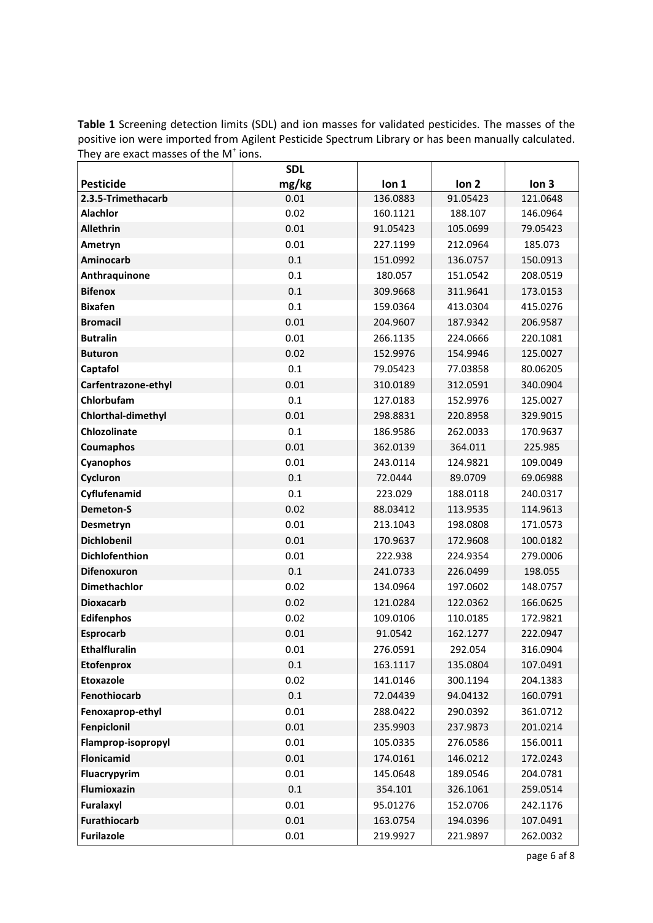**Table 1** Screening detection limits (SDL) and ion masses for validated pesticides. The masses of the positive ion were imported from Agilent Pesticide Spectrum Library or has been manually calculated. They are exact masses of the M<sup>+</sup> ions.

|                       | <b>SDL</b> |          |                  |                  |
|-----------------------|------------|----------|------------------|------------------|
| <b>Pesticide</b>      | mg/kg      | Ion 1    | Ion <sub>2</sub> | Ion <sub>3</sub> |
| 2.3.5-Trimethacarb    | 0.01       | 136.0883 | 91.05423         | 121.0648         |
| <b>Alachlor</b>       | 0.02       | 160.1121 | 188.107          | 146.0964         |
| <b>Allethrin</b>      | 0.01       | 91.05423 | 105.0699         | 79.05423         |
| Ametryn               | 0.01       | 227.1199 | 212.0964         | 185.073          |
| Aminocarb             | 0.1        | 151.0992 | 136.0757         | 150.0913         |
| Anthraquinone         | 0.1        | 180.057  | 151.0542         | 208.0519         |
| <b>Bifenox</b>        | 0.1        | 309.9668 | 311.9641         | 173.0153         |
| <b>Bixafen</b>        | 0.1        | 159.0364 | 413.0304         | 415.0276         |
| <b>Bromacil</b>       | 0.01       | 204.9607 | 187.9342         | 206.9587         |
| <b>Butralin</b>       | 0.01       | 266.1135 | 224.0666         | 220.1081         |
| <b>Buturon</b>        | 0.02       | 152.9976 | 154.9946         | 125.0027         |
| Captafol              | 0.1        | 79.05423 | 77.03858         | 80.06205         |
| Carfentrazone-ethyl   | 0.01       | 310.0189 | 312.0591         | 340.0904         |
| Chlorbufam            | 0.1        | 127.0183 | 152.9976         | 125.0027         |
| Chlorthal-dimethyl    | 0.01       | 298.8831 | 220.8958         | 329.9015         |
| <b>Chlozolinate</b>   | 0.1        | 186.9586 | 262.0033         | 170.9637         |
| Coumaphos             | 0.01       | 362.0139 | 364.011          | 225.985          |
| Cyanophos             | 0.01       | 243.0114 | 124.9821         | 109.0049         |
| Cycluron              | 0.1        | 72.0444  | 89.0709          | 69.06988         |
| Cyflufenamid          | 0.1        | 223.029  | 188.0118         | 240.0317         |
| <b>Demeton-S</b>      | 0.02       | 88.03412 | 113.9535         | 114.9613         |
| Desmetryn             | 0.01       | 213.1043 | 198.0808         | 171.0573         |
| <b>Dichlobenil</b>    | 0.01       | 170.9637 | 172.9608         | 100.0182         |
| <b>Dichlofenthion</b> | 0.01       | 222.938  | 224.9354         | 279.0006         |
| <b>Difenoxuron</b>    | 0.1        | 241.0733 | 226.0499         | 198.055          |
| <b>Dimethachlor</b>   | 0.02       | 134.0964 | 197.0602         | 148.0757         |
| <b>Dioxacarb</b>      | 0.02       | 121.0284 | 122.0362         | 166.0625         |
| <b>Edifenphos</b>     | 0.02       | 109.0106 | 110.0185         | 172.9821         |
| <b>Esprocarb</b>      | 0.01       | 91.0542  | 162.1277         | 222.0947         |
| <b>Ethalfluralin</b>  | 0.01       | 276.0591 | 292.054          | 316.0904         |
| <b>Etofenprox</b>     | 0.1        | 163.1117 | 135.0804         | 107.0491         |
| <b>Etoxazole</b>      | 0.02       | 141.0146 | 300.1194         | 204.1383         |
| Fenothiocarb          | $0.1\,$    | 72.04439 | 94.04132         | 160.0791         |
| Fenoxaprop-ethyl      | 0.01       | 288.0422 | 290.0392         | 361.0712         |
| Fenpiclonil           | 0.01       | 235.9903 | 237.9873         | 201.0214         |
| Flamprop-isopropyl    | 0.01       | 105.0335 | 276.0586         | 156.0011         |
| Flonicamid            | 0.01       | 174.0161 | 146.0212         | 172.0243         |
| Fluacrypyrim          | 0.01       | 145.0648 | 189.0546         | 204.0781         |
| Flumioxazin           | $0.1\,$    | 354.101  | 326.1061         | 259.0514         |
| Furalaxyl             | 0.01       | 95.01276 | 152.0706         | 242.1176         |
| <b>Furathiocarb</b>   | 0.01       | 163.0754 | 194.0396         | 107.0491         |
| <b>Furilazole</b>     | 0.01       | 219.9927 | 221.9897         | 262.0032         |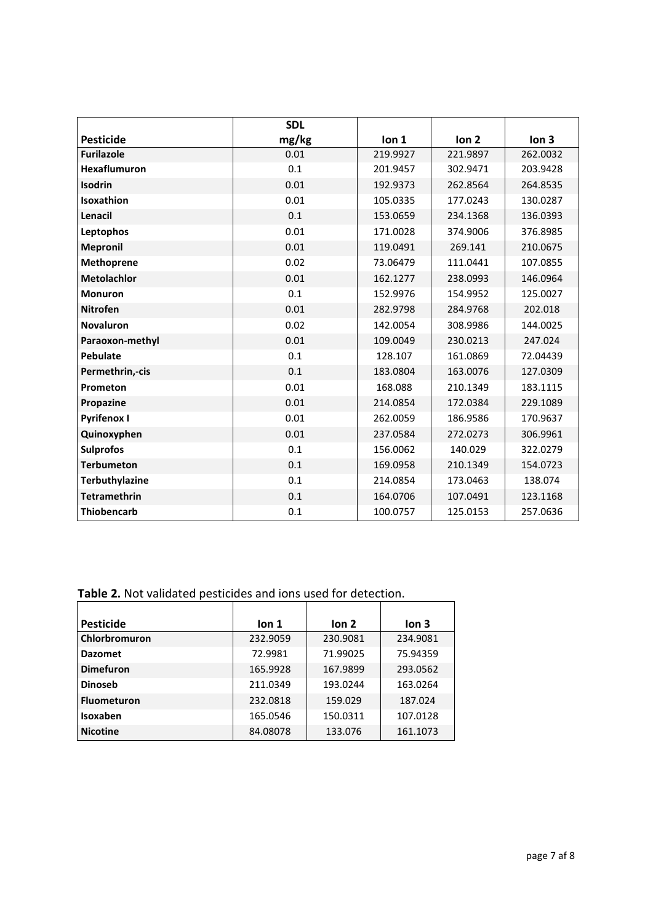|                       | <b>SDL</b> |          |                  |                  |
|-----------------------|------------|----------|------------------|------------------|
| <b>Pesticide</b>      | mg/kg      | Ion 1    | Ion <sub>2</sub> | Ion <sub>3</sub> |
| <b>Furilazole</b>     | 0.01       | 219.9927 | 221.9897         | 262.0032         |
| <b>Hexaflumuron</b>   | 0.1        | 201.9457 | 302.9471         | 203.9428         |
| <b>Isodrin</b>        | 0.01       | 192.9373 | 262.8564         | 264.8535         |
| Isoxathion            | 0.01       | 105.0335 | 177.0243         | 130.0287         |
| Lenacil               | 0.1        | 153.0659 | 234.1368         | 136.0393         |
| Leptophos             | 0.01       | 171.0028 | 374.9006         | 376.8985         |
| <b>Mepronil</b>       | 0.01       | 119.0491 | 269.141          | 210.0675         |
| <b>Methoprene</b>     | 0.02       | 73.06479 | 111.0441         | 107.0855         |
| <b>Metolachlor</b>    | 0.01       | 162.1277 | 238.0993         | 146.0964         |
| <b>Monuron</b>        | 0.1        | 152.9976 | 154.9952         | 125.0027         |
| <b>Nitrofen</b>       | 0.01       | 282.9798 | 284.9768         | 202.018          |
| <b>Novaluron</b>      | 0.02       | 142.0054 | 308.9986         | 144.0025         |
| Paraoxon-methyl       | 0.01       | 109.0049 | 230.0213         | 247.024          |
| <b>Pebulate</b>       | 0.1        | 128.107  | 161.0869         | 72.04439         |
| Permethrin,-cis       | 0.1        | 183.0804 | 163.0076         | 127.0309         |
| Prometon              | 0.01       | 168.088  | 210.1349         | 183.1115         |
| Propazine             | 0.01       | 214.0854 | 172.0384         | 229.1089         |
| <b>Pyrifenox I</b>    | 0.01       | 262.0059 | 186.9586         | 170.9637         |
| Quinoxyphen           | 0.01       | 237.0584 | 272.0273         | 306.9961         |
| <b>Sulprofos</b>      | 0.1        | 156.0062 | 140.029          | 322.0279         |
| <b>Terbumeton</b>     | 0.1        | 169.0958 | 210.1349         | 154.0723         |
| <b>Terbuthylazine</b> | 0.1        | 214.0854 | 173.0463         | 138.074          |
| <b>Tetramethrin</b>   | 0.1        | 164.0706 | 107.0491         | 123.1168         |
| <b>Thiobencarb</b>    | 0.1        | 100.0757 | 125.0153         | 257.0636         |

# **Table 2.** Not validated pesticides and ions used for detection.

| <b>Pesticide</b>   | lon <sub>1</sub> | lon <sub>2</sub> | lon <sub>3</sub> |
|--------------------|------------------|------------------|------------------|
| Chlorbromuron      | 232.9059         | 230.9081         | 234.9081         |
| <b>Dazomet</b>     | 72.9981          | 71.99025         | 75.94359         |
| <b>Dimefuron</b>   | 165.9928         | 167.9899         | 293.0562         |
| <b>Dinoseb</b>     | 211.0349         | 193.0244         | 163.0264         |
| <b>Fluometuron</b> | 232.0818         | 159.029          | 187.024          |
| Isoxaben           | 165.0546         | 150.0311         | 107.0128         |
| <b>Nicotine</b>    | 84.08078         | 133.076          | 161.1073         |